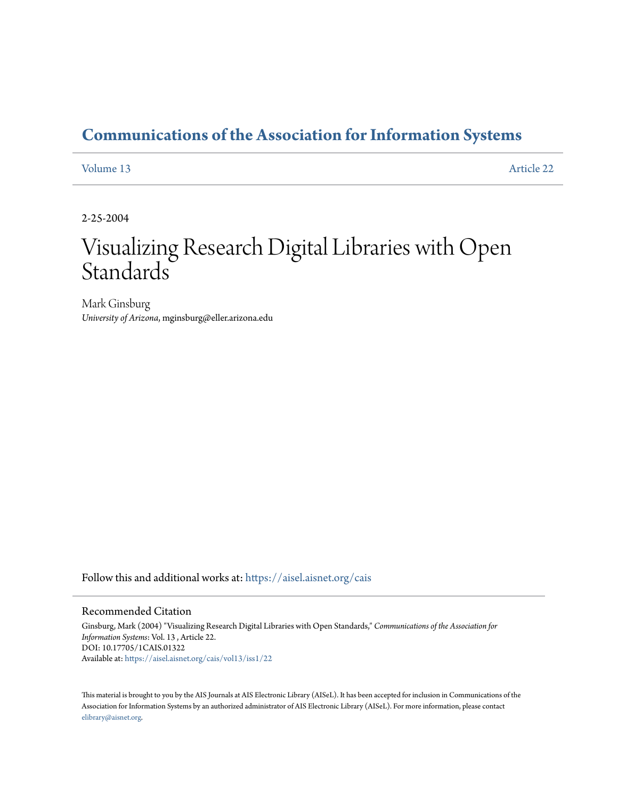## **[Communications of the Association for Information Systems](https://aisel.aisnet.org/cais?utm_source=aisel.aisnet.org%2Fcais%2Fvol13%2Fiss1%2F22&utm_medium=PDF&utm_campaign=PDFCoverPages)**

#### [Volume 13](https://aisel.aisnet.org/cais/vol13?utm_source=aisel.aisnet.org%2Fcais%2Fvol13%2Fiss1%2F22&utm_medium=PDF&utm_campaign=PDFCoverPages) [Article 22](https://aisel.aisnet.org/cais/vol13/iss1/22?utm_source=aisel.aisnet.org%2Fcais%2Fvol13%2Fiss1%2F22&utm_medium=PDF&utm_campaign=PDFCoverPages)

2-25-2004

# Visualizing Research Digital Libraries with Open **Standards**

Mark Ginsburg *University of Arizona*, mginsburg@eller.arizona.edu

Follow this and additional works at: [https://aisel.aisnet.org/cais](https://aisel.aisnet.org/cais?utm_source=aisel.aisnet.org%2Fcais%2Fvol13%2Fiss1%2F22&utm_medium=PDF&utm_campaign=PDFCoverPages)

#### Recommended Citation

Ginsburg, Mark (2004) "Visualizing Research Digital Libraries with Open Standards," *Communications of the Association for Information Systems*: Vol. 13 , Article 22. DOI: 10.17705/1CAIS.01322 Available at: [https://aisel.aisnet.org/cais/vol13/iss1/22](https://aisel.aisnet.org/cais/vol13/iss1/22?utm_source=aisel.aisnet.org%2Fcais%2Fvol13%2Fiss1%2F22&utm_medium=PDF&utm_campaign=PDFCoverPages)

This material is brought to you by the AIS Journals at AIS Electronic Library (AISeL). It has been accepted for inclusion in Communications of the Association for Information Systems by an authorized administrator of AIS Electronic Library (AISeL). For more information, please contact [elibrary@aisnet.org.](mailto:elibrary@aisnet.org%3E)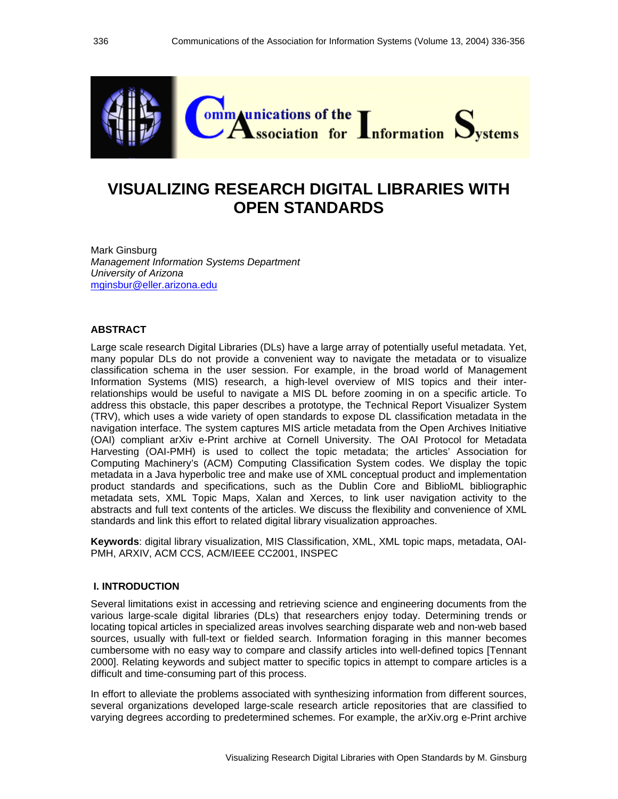

## **VISUALIZING RESEARCH DIGITAL LIBRARIES WITH OPEN STANDARDS**

Mark Ginsburg *Management Information Systems Department University of Arizona*  mginsbur@eller.arizona.edu

#### **ABSTRACT**

Large scale research Digital Libraries (DLs) have a large array of potentially useful metadata. Yet, many popular DLs do not provide a convenient way to navigate the metadata or to visualize classification schema in the user session. For example, in the broad world of Management Information Systems (MIS) research, a high-level overview of MIS topics and their interrelationships would be useful to navigate a MIS DL before zooming in on a specific article. To address this obstacle, this paper describes a prototype, the Technical Report Visualizer System (TRV), which uses a wide variety of open standards to expose DL classification metadata in the navigation interface. The system captures MIS article metadata from the Open Archives Initiative (OAI) compliant arXiv e-Print archive at Cornell University. The OAI Protocol for Metadata Harvesting (OAI-PMH) is used to collect the topic metadata; the articles' Association for Computing Machinery's (ACM) Computing Classification System codes. We display the topic metadata in a Java hyperbolic tree and make use of XML conceptual product and implementation product standards and specifications, such as the Dublin Core and BiblioML bibliographic metadata sets, XML Topic Maps, Xalan and Xerces, to link user navigation activity to the abstracts and full text contents of the articles. We discuss the flexibility and convenience of XML standards and link this effort to related digital library visualization approaches.

**Keywords**: digital library visualization, MIS Classification, XML, XML topic maps, metadata, OAI-PMH, ARXIV, ACM CCS, ACM/IEEE CC2001, INSPEC

#### **I. INTRODUCTION**

Several limitations exist in accessing and retrieving science and engineering documents from the various large-scale digital libraries (DLs) that researchers enjoy today. Determining trends or locating topical articles in specialized areas involves searching disparate web and non-web based sources, usually with full-text or fielded search. Information foraging in this manner becomes cumbersome with no easy way to compare and classify articles into well-defined topics [Tennant 2000]. Relating keywords and subject matter to specific topics in attempt to compare articles is a difficult and time-consuming part of this process.

In effort to alleviate the problems associated with synthesizing information from different sources, several organizations developed large-scale research article repositories that are classified to varying degrees according to predetermined schemes. For example, the arXiv.org e-Print archive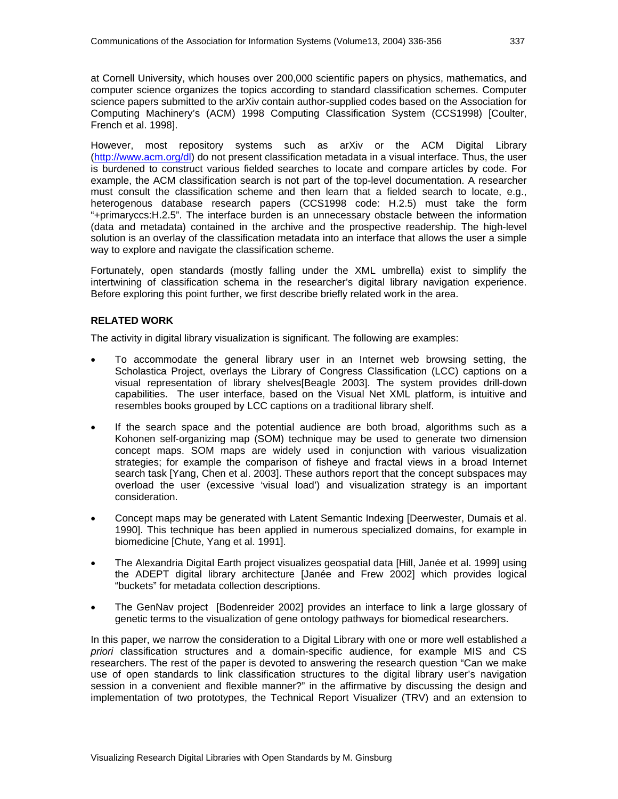at Cornell University, which houses over 200,000 scientific papers on physics, mathematics, and computer science organizes the topics according to standard classification schemes. Computer science papers submitted to the arXiv contain author-supplied codes based on the Association for Computing Machinery's (ACM) 1998 Computing Classification System (CCS1998) [Coulter, French et al. 1998].

However, most repository systems such as arXiv or the ACM Digital Library (http://www.acm.org/dl) do not present classification metadata in a visual interface. Thus, the user is burdened to construct various fielded searches to locate and compare articles by code. For example, the ACM classification search is not part of the top-level documentation. A researcher must consult the classification scheme and then learn that a fielded search to locate, e.g., heterogenous database research papers (CCS1998 code: H.2.5) must take the form "+primaryccs:H.2.5". The interface burden is an unnecessary obstacle between the information (data and metadata) contained in the archive and the prospective readership. The high-level solution is an overlay of the classification metadata into an interface that allows the user a simple way to explore and navigate the classification scheme.

Fortunately, open standards (mostly falling under the XML umbrella) exist to simplify the intertwining of classification schema in the researcher's digital library navigation experience. Before exploring this point further, we first describe briefly related work in the area.

#### **RELATED WORK**

The activity in digital library visualization is significant. The following are examples:

- To accommodate the general library user in an Internet web browsing setting, the Scholastica Project, overlays the Library of Congress Classification (LCC) captions on a visual representation of library shelves[Beagle 2003]. The system provides drill-down capabilities. The user interface, based on the Visual Net XML platform, is intuitive and resembles books grouped by LCC captions on a traditional library shelf.
- If the search space and the potential audience are both broad, algorithms such as a Kohonen self-organizing map (SOM) technique may be used to generate two dimension concept maps. SOM maps are widely used in conjunction with various visualization strategies; for example the comparison of fisheye and fractal views in a broad Internet search task [Yang, Chen et al. 2003]. These authors report that the concept subspaces may overload the user (excessive 'visual load') and visualization strategy is an important consideration.
- Concept maps may be generated with Latent Semantic Indexing [Deerwester, Dumais et al. 1990]. This technique has been applied in numerous specialized domains, for example in biomedicine [Chute, Yang et al. 1991].
- The Alexandria Digital Earth project visualizes geospatial data [Hill, Janée et al. 1999] using the ADEPT digital library architecture [Janée and Frew 2002] which provides logical "buckets" for metadata collection descriptions.
- The GenNav project [Bodenreider 2002] provides an interface to link a large glossary of genetic terms to the visualization of gene ontology pathways for biomedical researchers.

In this paper, we narrow the consideration to a Digital Library with one or more well established *a priori* classification structures and a domain-specific audience, for example MIS and CS researchers. The rest of the paper is devoted to answering the research question "Can we make use of open standards to link classification structures to the digital library user's navigation session in a convenient and flexible manner?" in the affirmative by discussing the design and implementation of two prototypes, the Technical Report Visualizer (TRV) and an extension to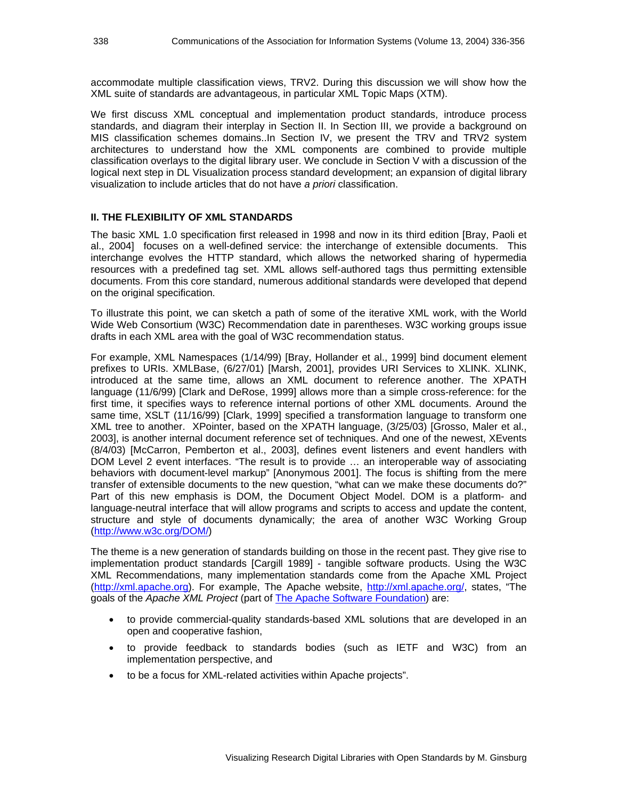accommodate multiple classification views, TRV2. During this discussion we will show how the XML suite of standards are advantageous, in particular XML Topic Maps (XTM).

We first discuss XML conceptual and implementation product standards, introduce process standards, and diagram their interplay in Section II. In Section III, we provide a background on MIS classification schemes domains..In Section IV, we present the TRV and TRV2 system architectures to understand how the XML components are combined to provide multiple classification overlays to the digital library user. We conclude in Section V with a discussion of the logical next step in DL Visualization process standard development; an expansion of digital library visualization to include articles that do not have *a priori* classification.

#### **II. THE FLEXIBILITY OF XML STANDARDS**

The basic XML 1.0 specification first released in 1998 and now in its third edition [Bray, Paoli et al., 2004] focuses on a well-defined service: the interchange of extensible documents. This interchange evolves the HTTP standard, which allows the networked sharing of hypermedia resources with a predefined tag set. XML allows self-authored tags thus permitting extensible documents. From this core standard, numerous additional standards were developed that depend on the original specification.

To illustrate this point, we can sketch a path of some of the iterative XML work, with the World Wide Web Consortium (W3C) Recommendation date in parentheses. W3C working groups issue drafts in each XML area with the goal of W3C recommendation status.

For example, XML Namespaces (1/14/99) [Bray, Hollander et al., 1999] bind document element prefixes to URIs. XMLBase, (6/27/01) [Marsh, 2001], provides URI Services to XLINK. XLINK, introduced at the same time, allows an XML document to reference another. The XPATH language (11/6/99) [Clark and DeRose, 1999] allows more than a simple cross-reference: for the first time, it specifies ways to reference internal portions of other XML documents. Around the same time, XSLT (11/16/99) [Clark, 1999] specified a transformation language to transform one XML tree to another. XPointer, based on the XPATH language, (3/25/03) [Grosso, Maler et al., 2003], is another internal document reference set of techniques. And one of the newest, XEvents (8/4/03) [McCarron, Pemberton et al., 2003], defines event listeners and event handlers with DOM Level 2 event interfaces. "The result is to provide … an interoperable way of associating behaviors with document-level markup" [Anonymous 2001]. The focus is shifting from the mere transfer of extensible documents to the new question, "what can we make these documents do?" Part of this new emphasis is DOM, the Document Object Model. DOM is a platform- and language-neutral interface that will allow programs and scripts to access and update the content, structure and style of documents dynamically; the area of another W3C Working Group (http://www.w3c.org/DOM/)

The theme is a new generation of standards building on those in the recent past. They give rise to implementation product standards [Cargill 1989] - tangible software products. Using the W3C XML Recommendations, many implementation standards come from the Apache XML Project (http://xml.apache.org). For example, The Apache website, http://xml.apache.org/, states, "The goals of the *Apache XML Project* (part of The Apache Software Foundation) are:

- to provide commercial-quality standards-based XML solutions that are developed in an open and cooperative fashion,
- to provide feedback to standards bodies (such as IETF and W3C) from an implementation perspective, and
- to be a focus for XML-related activities within Apache projects".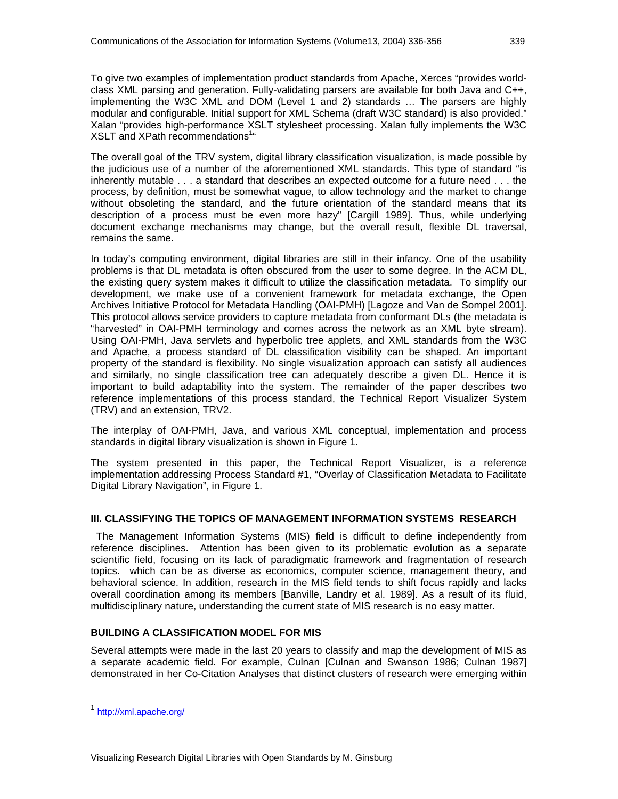To give two examples of implementation product standards from Apache, Xerces "provides worldclass XML parsing and generation. Fully-validating parsers are available for both Java and C++, implementing the W3C XML and DOM (Level 1 and 2) standards … The parsers are highly modular and configurable. Initial support for XML Schema (draft W3C standard) is also provided." Xalan "provides high-performance XSLT stylesheet processing. Xalan fully implements the W3C XSLT and XPath recommendations<sup>1</sup>"

The overall goal of the TRV system, digital library classification visualization, is made possible by the judicious use of a number of the aforementioned XML standards. This type of standard "is inherently mutable . . . a standard that describes an expected outcome for a future need . . . the process, by definition, must be somewhat vague, to allow technology and the market to change without obsoleting the standard, and the future orientation of the standard means that its description of a process must be even more hazy" [Cargill 1989]. Thus, while underlying document exchange mechanisms may change, but the overall result, flexible DL traversal, remains the same.

In today's computing environment, digital libraries are still in their infancy. One of the usability problems is that DL metadata is often obscured from the user to some degree. In the ACM DL, the existing query system makes it difficult to utilize the classification metadata. To simplify our development, we make use of a convenient framework for metadata exchange, the Open Archives Initiative Protocol for Metadata Handling (OAI-PMH) [Lagoze and Van de Sompel 2001]. This protocol allows service providers to capture metadata from conformant DLs (the metadata is "harvested" in OAI-PMH terminology and comes across the network as an XML byte stream). Using OAI-PMH, Java servlets and hyperbolic tree applets, and XML standards from the W3C and Apache, a process standard of DL classification visibility can be shaped. An important property of the standard is flexibility. No single visualization approach can satisfy all audiences and similarly, no single classification tree can adequately describe a given DL. Hence it is important to build adaptability into the system. The remainder of the paper describes two reference implementations of this process standard, the Technical Report Visualizer System (TRV) and an extension, TRV2.

The interplay of OAI-PMH, Java, and various XML conceptual, implementation and process standards in digital library visualization is shown in Figure 1.

The system presented in this paper, the Technical Report Visualizer, is a reference implementation addressing Process Standard #1, "Overlay of Classification Metadata to Facilitate Digital Library Navigation", in Figure 1.

#### **III. CLASSIFYING THE TOPICS OF MANAGEMENT INFORMATION SYSTEMS RESEARCH**

 The Management Information Systems (MIS) field is difficult to define independently from reference disciplines. Attention has been given to its problematic evolution as a separate scientific field, focusing on its lack of paradigmatic framework and fragmentation of research topics. which can be as diverse as economics, computer science, management theory, and behavioral science. In addition, research in the MIS field tends to shift focus rapidly and lacks overall coordination among its members [Banville, Landry et al. 1989]. As a result of its fluid, multidisciplinary nature, understanding the current state of MIS research is no easy matter.

#### **BUILDING A CLASSIFICATION MODEL FOR MIS**

Several attempts were made in the last 20 years to classify and map the development of MIS as a separate academic field. For example, Culnan [Culnan and Swanson 1986; Culnan 1987] demonstrated in her Co-Citation Analyses that distinct clusters of research were emerging within

1

<sup>1</sup> http://xml.apache.org/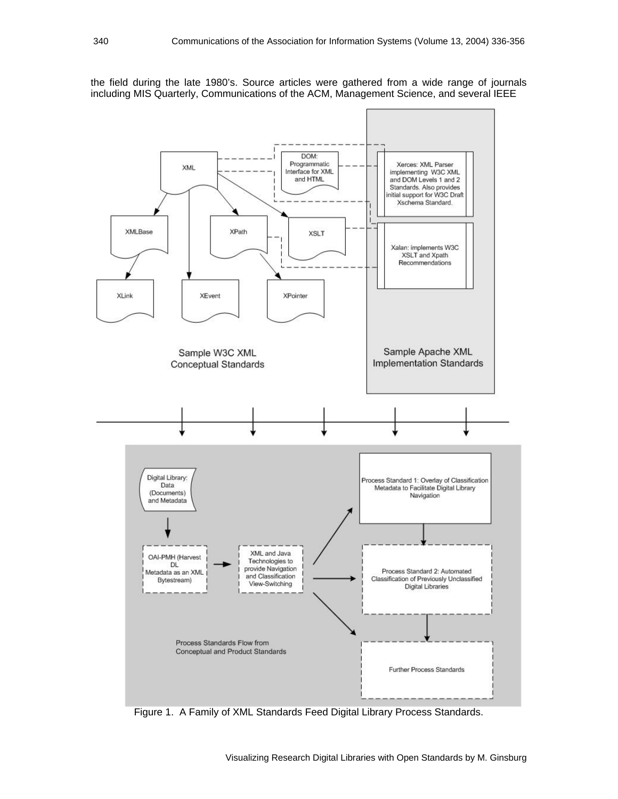the field during the late 1980's. Source articles were gathered from a wide range of journals including MIS Quarterly, Communications of the ACM, Management Science, and several IEEE



Figure 1. A Family of XML Standards Feed Digital Library Process Standards.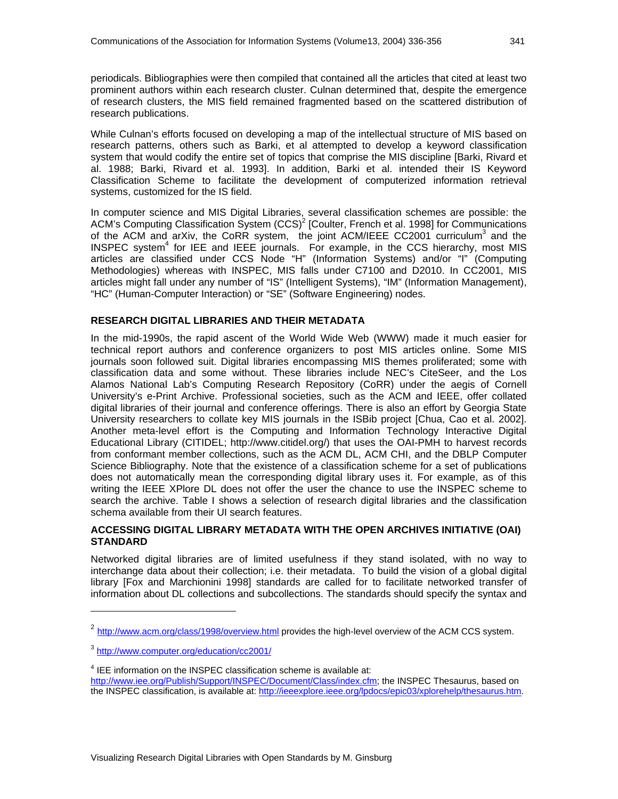periodicals. Bibliographies were then compiled that contained all the articles that cited at least two prominent authors within each research cluster. Culnan determined that, despite the emergence of research clusters, the MIS field remained fragmented based on the scattered distribution of research publications.

While Culnan's efforts focused on developing a map of the intellectual structure of MIS based on research patterns, others such as Barki, et al attempted to develop a keyword classification system that would codify the entire set of topics that comprise the MIS discipline [Barki, Rivard et al. 1988; Barki, Rivard et al. 1993]. In addition, Barki et al. intended their IS Keyword Classification Scheme to facilitate the development of computerized information retrieval systems, customized for the IS field.

In computer science and MIS Digital Libraries, several classification schemes are possible: the ACM's Computing Classification System (CCS)<sup>2</sup> [Coulter, French et al. 1998] for Communications of the ACM and arXiv, the CoRR system, the joint ACM/IEEE CC2001 curriculum<sup>3</sup> and the INSPEC system<sup>4</sup> for IEE and IEEE journals. For example, in the CCS hierarchy, most MIS articles are classified under CCS Node "H" (Information Systems) and/or "I" (Computing Methodologies) whereas with INSPEC, MIS falls under C7100 and D2010. In CC2001, MIS articles might fall under any number of "IS" (Intelligent Systems), "IM" (Information Management), "HC" (Human-Computer Interaction) or "SE" (Software Engineering) nodes.

#### **RESEARCH DIGITAL LIBRARIES AND THEIR METADATA**

In the mid-1990s, the rapid ascent of the World Wide Web (WWW) made it much easier for technical report authors and conference organizers to post MIS articles online. Some MIS journals soon followed suit. Digital libraries encompassing MIS themes proliferated; some with classification data and some without. These libraries include NEC's CiteSeer, and the Los Alamos National Lab's Computing Research Repository (CoRR) under the aegis of Cornell University's e-Print Archive. Professional societies, such as the ACM and IEEE, offer collated digital libraries of their journal and conference offerings. There is also an effort by Georgia State University researchers to collate key MIS journals in the ISBib project [Chua, Cao et al. 2002]. Another meta-level effort is the Computing and Information Technology Interactive Digital Educational Library (CITIDEL; http://www.citidel.org/) that uses the OAI-PMH to harvest records from conformant member collections, such as the ACM DL, ACM CHI, and the DBLP Computer Science Bibliography. Note that the existence of a classification scheme for a set of publications does not automatically mean the corresponding digital library uses it. For example, as of this writing the IEEE XPlore DL does not offer the user the chance to use the INSPEC scheme to search the archive. Table I shows a selection of research digital libraries and the classification schema available from their UI search features.

#### **ACCESSING DIGITAL LIBRARY METADATA WITH THE OPEN ARCHIVES INITIATIVE (OAI) STANDARD**

Networked digital libraries are of limited usefulness if they stand isolated, with no way to interchange data about their collection; i.e. their metadata. To build the vision of a global digital library [Fox and Marchionini 1998] standards are called for to facilitate networked transfer of information about DL collections and subcollections. The standards should specify the syntax and

l

<sup>&</sup>lt;sup>2</sup> http://www.acm.org/class/1998/overview.html provides the high-level overview of the ACM CCS system.

<sup>3</sup> http://www.computer.org/education/cc2001/

 $4$  IEE information on the INSPEC classification scheme is available at:

http://www.iee.org/Publish/Support/INSPEC/Document/Class/index.cfm; the INSPEC Thesaurus, based on the INSPEC classification, is available at: http://ieeexplore.ieee.org/lpdocs/epic03/xplorehelp/thesaurus.htm.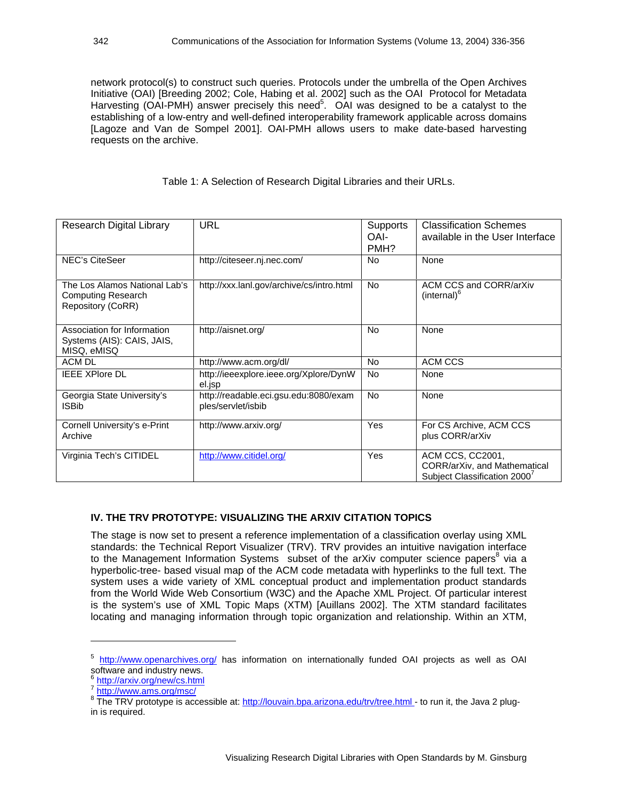network protocol(s) to construct such queries. Protocols under the umbrella of the Open Archives Initiative (OAI) [Breeding 2002; Cole, Habing et al. 2002] such as the OAI Protocol for Metadata Harvesting (OAI-PMH) answer precisely this need<sup>5</sup>. OAI was designed to be a catalyst to the establishing of a low-entry and well-defined interoperability framework applicable across domains [Lagoze and Van de Sompel 2001]. OAI-PMH allows users to make date-based harvesting requests on the archive.

Table 1: A Selection of Research Digital Libraries and their URLs.

| Research Digital Library                                                        | <b>URL</b>                                                  | Supports<br>OAI-<br>PMH? | <b>Classification Schemes</b><br>available in the User Interface                             |
|---------------------------------------------------------------------------------|-------------------------------------------------------------|--------------------------|----------------------------------------------------------------------------------------------|
| <b>NEC's CiteSeer</b>                                                           | http://citeseer.nj.nec.com/                                 | <b>No</b>                | None                                                                                         |
| The Los Alamos National Lab's<br><b>Computing Research</b><br>Repository (CoRR) | http://xxx.lanl.gov/archive/cs/intro.html                   | <b>No</b>                | ACM CCS and CORR/arXiv<br>(internal) <sup>6</sup>                                            |
| Association for Information<br>Systems (AIS): CAIS, JAIS,<br>MISQ, eMISQ        | http://aisnet.org/                                          | <b>No</b>                | None                                                                                         |
| <b>ACM DL</b>                                                                   | http://www.acm.org/dl/                                      | No.                      | ACM CCS                                                                                      |
| <b>IEEE XPlore DL</b>                                                           | http://ieeexplore.ieee.org/Xplore/DynW<br>el.jsp            | <b>No</b>                | None                                                                                         |
| Georgia State University's<br><b>ISBib</b>                                      | http://readable.eci.gsu.edu:8080/exam<br>ples/servlet/isbib | <b>No</b>                | None                                                                                         |
| Cornell University's e-Print<br>Archive                                         | http://www.arxiv.org/                                       | Yes                      | For CS Archive, ACM CCS<br>plus CORR/arXiv                                                   |
| Virginia Tech's CITIDEL                                                         | http://www.citidel.org/                                     | Yes                      | ACM CCS, CC2001,<br>CORR/arXiv, and Mathematical<br>Subject Classification 2000 <sup>7</sup> |

#### **IV. THE TRV PROTOTYPE: VISUALIZING THE ARXIV CITATION TOPICS**

The stage is now set to present a reference implementation of a classification overlay using XML standards: the Technical Report Visualizer (TRV). TRV provides an intuitive navigation interface to the Management Information Systems subset of the arXiv computer science papers<sup>8</sup> via a hyperbolic-tree- based visual map of the ACM code metadata with hyperlinks to the full text. The system uses a wide variety of XML conceptual product and implementation product standards from the World Wide Web Consortium (W3C) and the Apache XML Project. Of particular interest is the system's use of XML Topic Maps (XTM) [Auillans 2002]. The XTM standard facilitates locating and managing information through topic organization and relationship. Within an XTM,

1

<sup>&</sup>lt;sup>5</sup> http://www.openarchives.org/ has information on internationally funded OAI projects as well as OAI software and industry news.

<sup>6</sup> http://arxiv.org/new/cs.html

<sup>7</sup> http://www.ams.org/msc/

<sup>&</sup>lt;sup>8</sup> The TRV prototype is accessible at: http://louvain.bpa.arizona.edu/trv/tree.html - to run it, the Java 2 plugin is required.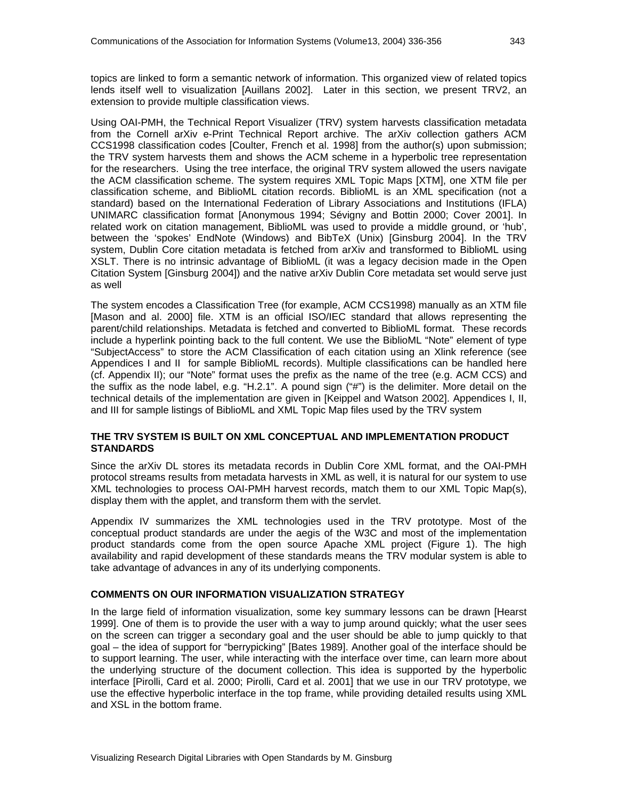topics are linked to form a semantic network of information. This organized view of related topics lends itself well to visualization [Auillans 2002]. Later in this section, we present TRV2, an extension to provide multiple classification views.

Using OAI-PMH, the Technical Report Visualizer (TRV) system harvests classification metadata from the Cornell arXiv e-Print Technical Report archive. The arXiv collection gathers ACM CCS1998 classification codes [Coulter, French et al. 1998] from the author(s) upon submission; the TRV system harvests them and shows the ACM scheme in a hyperbolic tree representation for the researchers. Using the tree interface, the original TRV system allowed the users navigate the ACM classification scheme. The system requires XML Topic Maps [XTM], one XTM file per classification scheme, and BiblioML citation records. BiblioML is an XML specification (not a standard) based on the International Federation of Library Associations and Institutions (IFLA) UNIMARC classification format [Anonymous 1994; Sévigny and Bottin 2000; Cover 2001]. In related work on citation management, BiblioML was used to provide a middle ground, or 'hub', between the 'spokes' EndNote (Windows) and BibTeX (Unix) [Ginsburg 2004]. In the TRV system, Dublin Core citation metadata is fetched from arXiv and transformed to BiblioML using XSLT. There is no intrinsic advantage of BiblioML (it was a legacy decision made in the Open Citation System [Ginsburg 2004]) and the native arXiv Dublin Core metadata set would serve just as well

The system encodes a Classification Tree (for example, ACM CCS1998) manually as an XTM file [Mason and al. 2000] file. XTM is an official ISO/IEC standard that allows representing the parent/child relationships. Metadata is fetched and converted to BiblioML format. These records include a hyperlink pointing back to the full content. We use the BiblioML "Note" element of type "SubjectAccess" to store the ACM Classification of each citation using an Xlink reference (see Appendices I and II for sample BiblioML records). Multiple classifications can be handled here (cf. Appendix II); our "Note" format uses the prefix as the name of the tree (e.g. ACM CCS) and the suffix as the node label, e.g. "H.2.1". A pound sign ("#") is the delimiter. More detail on the technical details of the implementation are given in [Keippel and Watson 2002]. Appendices I, II, and III for sample listings of BiblioML and XML Topic Map files used by the TRV system

#### **THE TRV SYSTEM IS BUILT ON XML CONCEPTUAL AND IMPLEMENTATION PRODUCT STANDARDS**

Since the arXiv DL stores its metadata records in Dublin Core XML format, and the OAI-PMH protocol streams results from metadata harvests in XML as well, it is natural for our system to use XML technologies to process OAI-PMH harvest records, match them to our XML Topic Map(s), display them with the applet, and transform them with the servlet.

Appendix IV summarizes the XML technologies used in the TRV prototype. Most of the conceptual product standards are under the aegis of the W3C and most of the implementation product standards come from the open source Apache XML project (Figure 1). The high availability and rapid development of these standards means the TRV modular system is able to take advantage of advances in any of its underlying components.

#### **COMMENTS ON OUR INFORMATION VISUALIZATION STRATEGY**

In the large field of information visualization, some key summary lessons can be drawn [Hearst 1999]. One of them is to provide the user with a way to jump around quickly; what the user sees on the screen can trigger a secondary goal and the user should be able to jump quickly to that goal – the idea of support for "berrypicking" [Bates 1989]. Another goal of the interface should be to support learning. The user, while interacting with the interface over time, can learn more about the underlying structure of the document collection. This idea is supported by the hyperbolic interface [Pirolli, Card et al. 2000; Pirolli, Card et al. 2001] that we use in our TRV prototype, we use the effective hyperbolic interface in the top frame, while providing detailed results using XML and XSL in the bottom frame.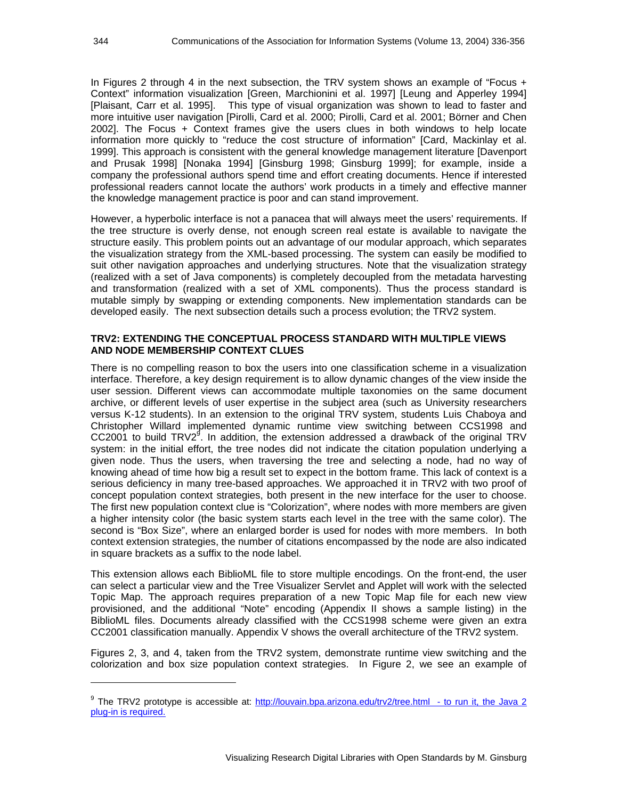In Figures 2 through 4 in the next subsection, the TRV system shows an example of "Focus + Context" information visualization [Green, Marchionini et al. 1997] [Leung and Apperley 1994] [Plaisant, Carr et al. 1995]. This type of visual organization was shown to lead to faster and more intuitive user navigation [Pirolli, Card et al. 2000; Pirolli, Card et al. 2001; Börner and Chen 2002]. The Focus + Context frames give the users clues in both windows to help locate information more quickly to "reduce the cost structure of information" [Card, Mackinlay et al. 1999]. This approach is consistent with the general knowledge management literature [Davenport and Prusak 1998] [Nonaka 1994] [Ginsburg 1998; Ginsburg 1999]; for example, inside a company the professional authors spend time and effort creating documents. Hence if interested professional readers cannot locate the authors' work products in a timely and effective manner the knowledge management practice is poor and can stand improvement.

However, a hyperbolic interface is not a panacea that will always meet the users' requirements. If the tree structure is overly dense, not enough screen real estate is available to navigate the structure easily. This problem points out an advantage of our modular approach, which separates the visualization strategy from the XML-based processing. The system can easily be modified to suit other navigation approaches and underlying structures. Note that the visualization strategy (realized with a set of Java components) is completely decoupled from the metadata harvesting and transformation (realized with a set of XML components). Thus the process standard is mutable simply by swapping or extending components. New implementation standards can be developed easily. The next subsection details such a process evolution; the TRV2 system.

#### **TRV2: EXTENDING THE CONCEPTUAL PROCESS STANDARD WITH MULTIPLE VIEWS AND NODE MEMBERSHIP CONTEXT CLUES**

There is no compelling reason to box the users into one classification scheme in a visualization interface. Therefore, a key design requirement is to allow dynamic changes of the view inside the user session. Different views can accommodate multiple taxonomies on the same document archive, or different levels of user expertise in the subject area (such as University researchers versus K-12 students). In an extension to the original TRV system, students Luis Chaboya and Christopher Willard implemented dynamic runtime view switching between CCS1998 and  $CC2001$  to build TRV2<sup>9</sup>. In addition, the extension addressed a drawback of the original TRV system: in the initial effort, the tree nodes did not indicate the citation population underlying a given node. Thus the users, when traversing the tree and selecting a node, had no way of knowing ahead of time how big a result set to expect in the bottom frame. This lack of context is a serious deficiency in many tree-based approaches. We approached it in TRV2 with two proof of concept population context strategies, both present in the new interface for the user to choose. The first new population context clue is "Colorization", where nodes with more members are given a higher intensity color (the basic system starts each level in the tree with the same color). The second is "Box Size", where an enlarged border is used for nodes with more members. In both context extension strategies, the number of citations encompassed by the node are also indicated in square brackets as a suffix to the node label.

This extension allows each BiblioML file to store multiple encodings. On the front-end, the user can select a particular view and the Tree Visualizer Servlet and Applet will work with the selected Topic Map. The approach requires preparation of a new Topic Map file for each new view provisioned, and the additional "Note" encoding (Appendix II shows a sample listing) in the BiblioML files. Documents already classified with the CCS1998 scheme were given an extra CC2001 classification manually. Appendix V shows the overall architecture of the TRV2 system.

Figures 2, 3, and 4, taken from the TRV2 system, demonstrate runtime view switching and the colorization and box size population context strategies. In Figure 2, we see an example of

-

<sup>&</sup>lt;sup>9</sup> The TRV2 prototype is accessible at: http://louvain.bpa.arizona.edu/trv2/tree.html - to run it, the Java 2 plug-in is required.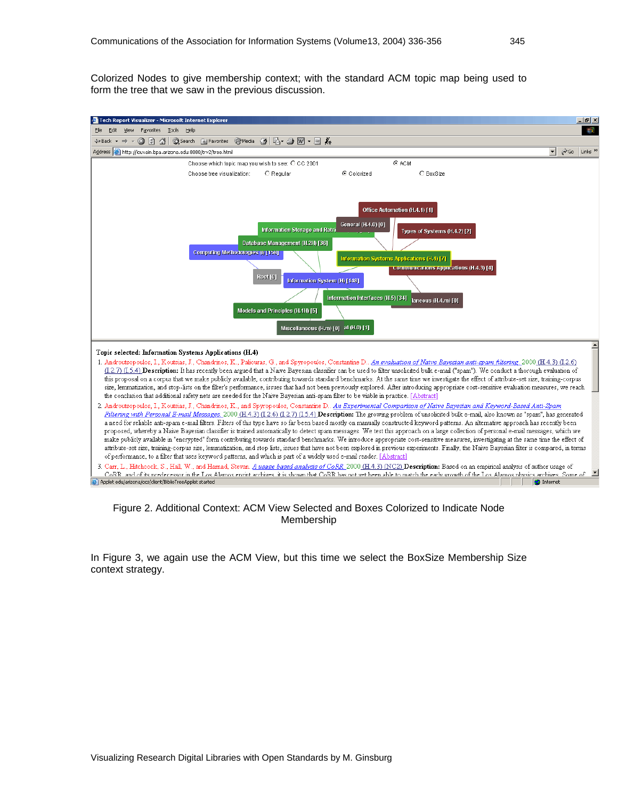Colorized Nodes to give membership context; with the standard ACM topic map being used to form the tree that we saw in the previous discussion.



#### Figure 2. Additional Context: ACM View Selected and Boxes Colorized to Indicate Node Membership

In Figure 3, we again use the ACM View, but this time we select the BoxSize Membership Size context strategy.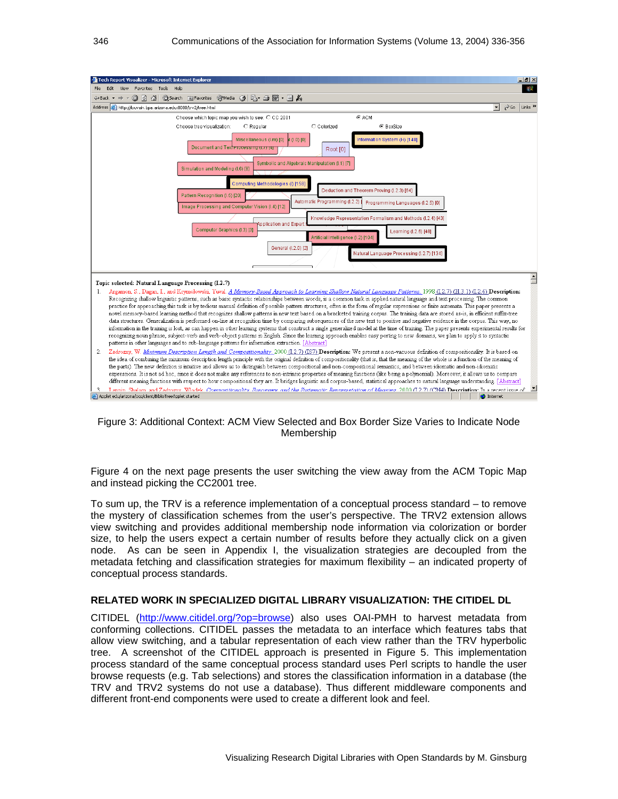

#### Figure 3: Additional Context: ACM View Selected and Box Border Size Varies to Indicate Node Membership

Figure 4 on the next page presents the user switching the view away from the ACM Topic Map and instead picking the CC2001 tree.

To sum up, the TRV is a reference implementation of a conceptual process standard – to remove the mystery of classification schemes from the user's perspective. The TRV2 extension allows view switching and provides additional membership node information via colorization or border size, to help the users expect a certain number of results before they actually click on a given node. As can be seen in Appendix I, the visualization strategies are decoupled from the metadata fetching and classification strategies for maximum flexibility – an indicated property of conceptual process standards.

#### **RELATED WORK IN SPECIALIZED DIGITAL LIBRARY VISUALIZATION: THE CITIDEL DL**

CITIDEL (http://www.citidel.org/?op=browse) also uses OAI-PMH to harvest metadata from conforming collections. CITIDEL passes the metadata to an interface which features tabs that allow view switching, and a tabular representation of each view rather than the TRV hyperbolic tree. A screenshot of the CITIDEL approach is presented in Figure 5. This implementation process standard of the same conceptual process standard uses Perl scripts to handle the user browse requests (e.g. Tab selections) and stores the classification information in a database (the TRV and TRV2 systems do not use a database). Thus different middleware components and different front-end components were used to create a different look and feel.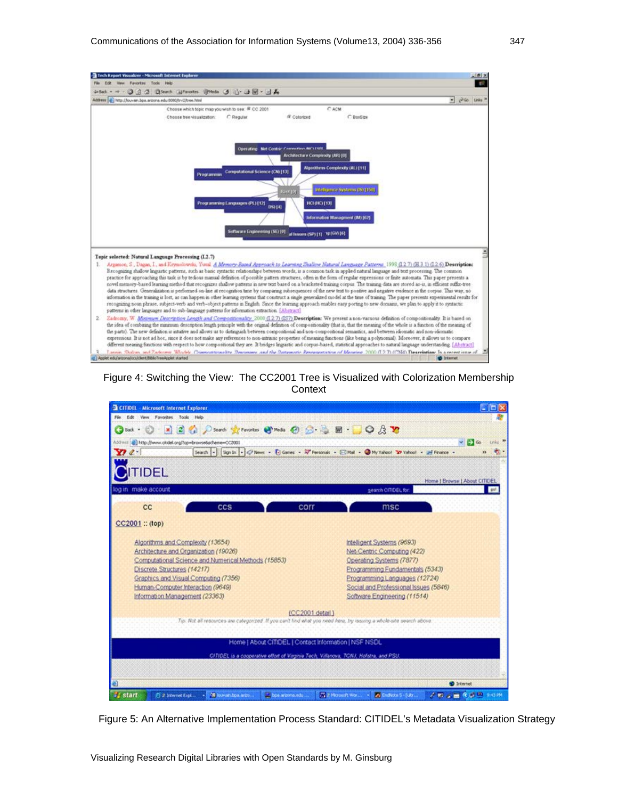

Figure 4: Switching the View: The CC2001 Tree is Visualized with Colorization Membership **Context** 



Figure 5: An Alternative Implementation Process Standard: CITIDEL's Metadata Visualization Strategy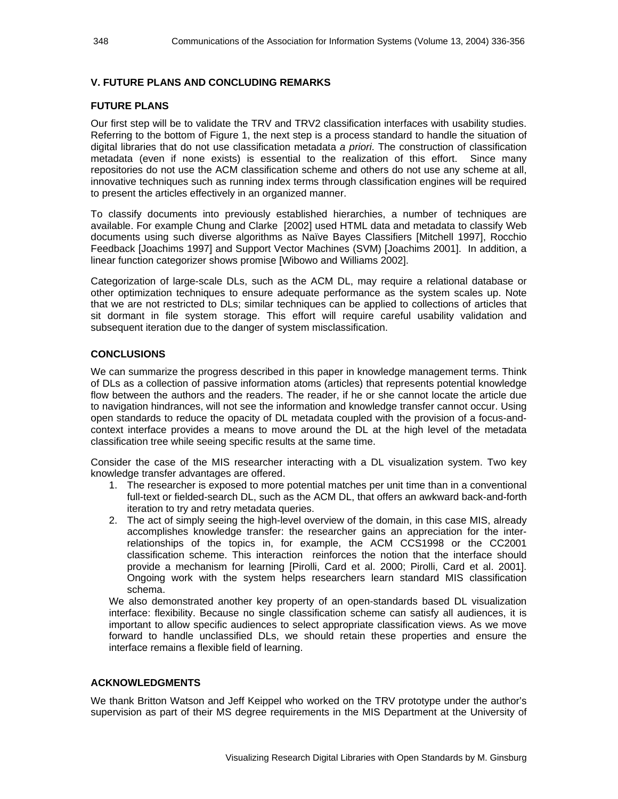#### **V. FUTURE PLANS AND CONCLUDING REMARKS**

#### **FUTURE PLANS**

Our first step will be to validate the TRV and TRV2 classification interfaces with usability studies. Referring to the bottom of Figure 1, the next step is a process standard to handle the situation of digital libraries that do not use classification metadata *a priori*. The construction of classification metadata (even if none exists) is essential to the realization of this effort. Since many repositories do not use the ACM classification scheme and others do not use any scheme at all, innovative techniques such as running index terms through classification engines will be required to present the articles effectively in an organized manner.

To classify documents into previously established hierarchies, a number of techniques are available. For example Chung and Clarke [2002] used HTML data and metadata to classify Web documents using such diverse algorithms as Naïve Bayes Classifiers [Mitchell 1997], Rocchio Feedback [Joachims 1997] and Support Vector Machines (SVM) [Joachims 2001]. In addition, a linear function categorizer shows promise [Wibowo and Williams 2002].

Categorization of large-scale DLs, such as the ACM DL, may require a relational database or other optimization techniques to ensure adequate performance as the system scales up. Note that we are not restricted to DLs; similar techniques can be applied to collections of articles that sit dormant in file system storage. This effort will require careful usability validation and subsequent iteration due to the danger of system misclassification.

#### **CONCLUSIONS**

We can summarize the progress described in this paper in knowledge management terms. Think of DLs as a collection of passive information atoms (articles) that represents potential knowledge flow between the authors and the readers. The reader, if he or she cannot locate the article due to navigation hindrances, will not see the information and knowledge transfer cannot occur. Using open standards to reduce the opacity of DL metadata coupled with the provision of a focus-andcontext interface provides a means to move around the DL at the high level of the metadata classification tree while seeing specific results at the same time.

Consider the case of the MIS researcher interacting with a DL visualization system. Two key knowledge transfer advantages are offered.

- 1. The researcher is exposed to more potential matches per unit time than in a conventional full-text or fielded-search DL, such as the ACM DL, that offers an awkward back-and-forth iteration to try and retry metadata queries.
- 2. The act of simply seeing the high-level overview of the domain, in this case MIS, already accomplishes knowledge transfer: the researcher gains an appreciation for the interrelationships of the topics in, for example, the ACM CCS1998 or the CC2001 classification scheme. This interaction reinforces the notion that the interface should provide a mechanism for learning [Pirolli, Card et al. 2000; Pirolli, Card et al. 2001]. Ongoing work with the system helps researchers learn standard MIS classification schema.

We also demonstrated another key property of an open-standards based DL visualization interface: flexibility. Because no single classification scheme can satisfy all audiences, it is important to allow specific audiences to select appropriate classification views. As we move forward to handle unclassified DLs, we should retain these properties and ensure the interface remains a flexible field of learning.

#### **ACKNOWLEDGMENTS**

We thank Britton Watson and Jeff Keippel who worked on the TRV prototype under the author's supervision as part of their MS degree requirements in the MIS Department at the University of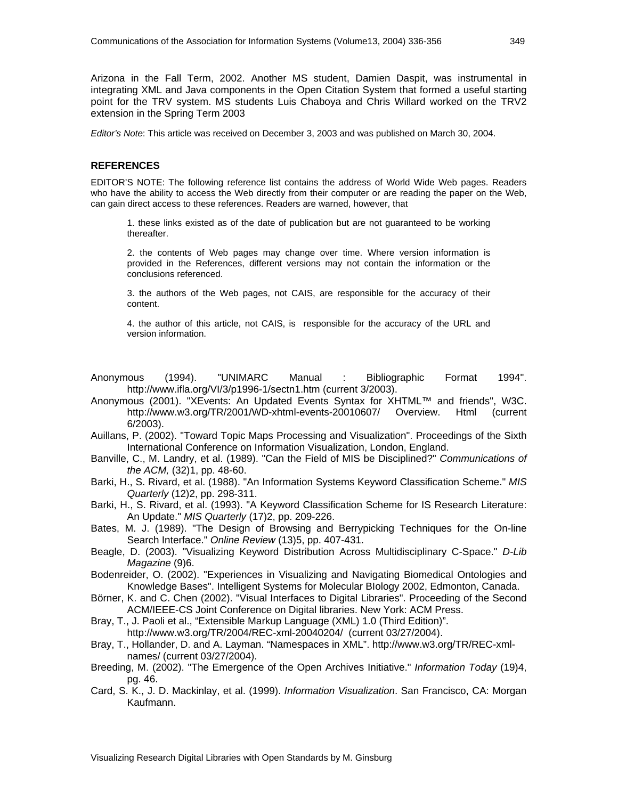Arizona in the Fall Term, 2002. Another MS student, Damien Daspit, was instrumental in integrating XML and Java components in the Open Citation System that formed a useful starting point for the TRV system. MS students Luis Chaboya and Chris Willard worked on the TRV2 extension in the Spring Term 2003

*Editor's Note*: This article was received on December 3, 2003 and was published on March 30, 2004.

#### **REFERENCES**

EDITOR'S NOTE: The following reference list contains the address of World Wide Web pages. Readers who have the ability to access the Web directly from their computer or are reading the paper on the Web, can gain direct access to these references. Readers are warned, however, that

1. these links existed as of the date of publication but are not guaranteed to be working thereafter.

2. the contents of Web pages may change over time. Where version information is provided in the References, different versions may not contain the information or the conclusions referenced.

3. the authors of the Web pages, not CAIS, are responsible for the accuracy of their content.

4. the author of this article, not CAIS, is responsible for the accuracy of the URL and version information.

Anonymous (1994). "UNIMARC Manual : Bibliographic Format 1994". http://www.ifla.org/VI/3/p1996-1/sectn1.htm (current 3/2003).

- Anonymous (2001). "XEvents: An Updated Events Syntax for XHTML™ and friends", W3C. http://www.w3.org/TR/2001/WD-xhtml-events-20010607/ Overview. Html (current 6/2003).
- Auillans, P. (2002). "Toward Topic Maps Processing and Visualization". Proceedings of the Sixth International Conference on Information Visualization, London, England.
- Banville, C., M. Landry, et al. (1989). "Can the Field of MIS be Disciplined?" *Communications of the ACM,* (32)1, pp. 48-60.
- Barki, H., S. Rivard, et al. (1988). "An Information Systems Keyword Classification Scheme." *MIS Quarterly* (12)2, pp. 298-311.
- Barki, H., S. Rivard, et al. (1993). "A Keyword Classification Scheme for IS Research Literature: An Update." *MIS Quarterly* (17)2, pp. 209-226.
- Bates, M. J. (1989). "The Design of Browsing and Berrypicking Techniques for the On-line Search Interface." *Online Review* (13)5, pp. 407-431.
- Beagle, D. (2003). "Visualizing Keyword Distribution Across Multidisciplinary C-Space." *D-Lib Magazine* (9)6.

Bodenreider, O. (2002). "Experiences in Visualizing and Navigating Biomedical Ontologies and Knowledge Bases". Intelligent Systems for Molecular BIology 2002, Edmonton, Canada.

Börner, K. and C. Chen (2002). "Visual Interfaces to Digital Libraries". Proceeding of the Second ACM/IEEE-CS Joint Conference on Digital libraries. New York: ACM Press.

Bray, T., J. Paoli et al., "Extensible Markup Language (XML) 1.0 (Third Edition)".

http://www.w3.org/TR/2004/REC-xml-20040204/ (current 03/27/2004).

- Bray, T., Hollander, D. and A. Layman. "Namespaces in XML". http://www.w3.org/TR/REC-xmlnames/ (current 03/27/2004).
- Breeding, M. (2002). "The Emergence of the Open Archives Initiative." *Information Today* (19)4, pg. 46.
- Card, S. K., J. D. Mackinlay, et al. (1999). *Information Visualization*. San Francisco, CA: Morgan Kaufmann.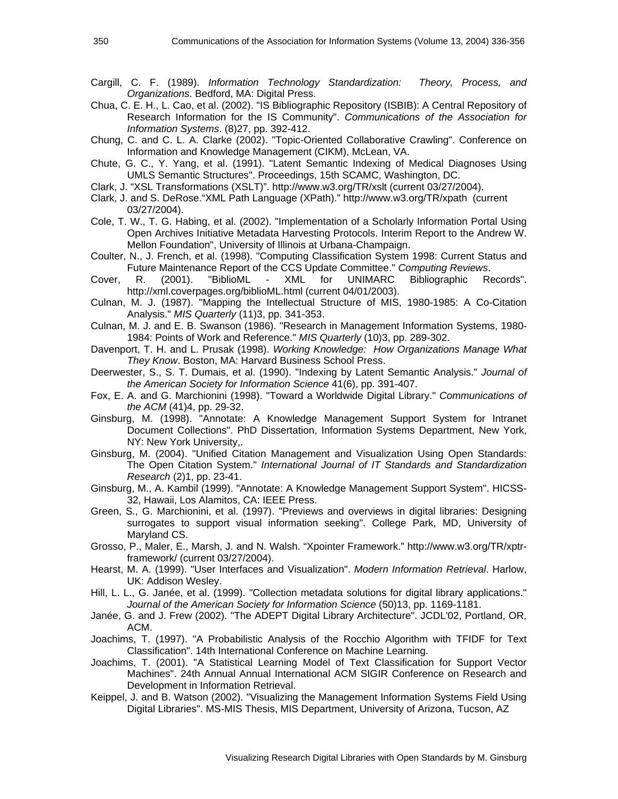- Cargill, C. F. (1989). *Information Technology Standardization: Theory, Process, and Organizations*. Bedford, MA: Digital Press.
- Chua, C. E. H., L. Cao, et al. (2002). "IS Bibliographic Repository (ISBIB): A Central Repository of Research Information for the IS Community". *Communications of the Association for Information Systems*. (8)27, pp. 392-412.
- Chung, C. and C. L. A. Clarke (2002). "Topic-Oriented Collaborative Crawling". Conference on Information and Knowledge Management (CIKM), McLean, VA.
- Chute, G. C., Y. Yang, et al. (1991). "Latent Semantic Indexing of Medical Diagnoses Using UMLS Semantic Structures". Proceedings, 15th SCAMC, Washington, DC.
- Clark, J. "XSL Transformations (XSLT)". http://www.w3.org/TR/xslt (current 03/27/2004).
- Clark, J. and S. DeRose."XML Path Language (XPath)." http://www.w3.org/TR/xpath (current 03/27/2004).
- Cole, T. W., T. G. Habing, et al. (2002). "Implementation of a Scholarly Information Portal Using Open Archives Initiative Metadata Harvesting Protocols. Interim Report to the Andrew W. Mellon Foundation", University of Illinois at Urbana-Champaign.
- Coulter, N., J. French, et al. (1998). "Computing Classification System 1998: Current Status and Future Maintenance Report of the CCS Update Committee." *Computing Reviews*.
- Cover, R. (2001). "BiblioML XML for UNIMARC Bibliographic Records". http://xml.coverpages.org/biblioML.html (current 04/01/2003).
- Culnan, M. J. (1987). "Mapping the Intellectual Structure of MIS, 1980-1985: A Co-Citation Analysis." *MIS Quarterly* (11)3, pp. 341-353.
- Culnan, M. J. and E. B. Swanson (1986). "Research in Management Information Systems, 1980- 1984: Points of Work and Reference." *MIS Quarterly* (10)3, pp. 289-302.
- Davenport, T. H. and L. Prusak (1998). *Working Knowledge: How Organizations Manage What They Know*. Boston, MA: Harvard Business School Press.
- Deerwester, S., S. T. Dumais, et al. (1990). "Indexing by Latent Semantic Analysis." *Journal of the American Society for Information Science* 41(6), pp. 391-407.
- Fox, E. A. and G. Marchionini (1998). "Toward a Worldwide Digital Library." *Communications of the ACM* (41)4, pp. 29-32.
- Ginsburg, M. (1998). "Annotate: A Knowledge Management Support System for Intranet Document Collections". PhD Dissertation, Information Systems Department, New York, NY: New York University,.
- Ginsburg, M. (2004). "Unified Citation Management and Visualization Using Open Standards: The Open Citation System." *International Journal of IT Standards and Standardization Research* (2)1, pp. 23-41.
- Ginsburg, M., A. Kambil (1999). "Annotate: A Knowledge Management Support System". HICSS-32, Hawaii, Los Alamitos, CA: IEEE Press.
- Green, S., G. Marchionini, et al. (1997). "Previews and overviews in digital libraries: Designing surrogates to support visual information seeking". College Park, MD, University of Maryland CS.
- Grosso, P., Maler, E., Marsh, J. and N. Walsh. "Xpointer Framework." http://www.w3.org/TR/xptrframework/ (current 03/27/2004).
- Hearst, M. A. (1999). "User Interfaces and Visualization". *Modern Information Retrieval*. Harlow, UK: Addison Wesley.
- Hill, L. L., G. Janée, et al. (1999). "Collection metadata solutions for digital library applications." *Journal of the American Society for Information Science* (50)13, pp. 1169-1181.
- Janée, G. and J. Frew (2002). "The ADEPT Digital Library Architecture". JCDL'02, Portland, OR, ACM.
- Joachims, T. (1997). "A Probabilistic Analysis of the Rocchio Algorithm with TFIDF for Text Classification". 14th International Conference on Machine Learning.
- Joachims, T. (2001). "A Statistical Learning Model of Text Classification for Support Vector Machines". 24th Annual Annual International ACM SIGIR Conference on Research and Development in Information Retrieval.
- Keippel, J. and B. Watson (2002). "Visualizing the Management Information Systems Field Using Digital Libraries". MS-MIS Thesis, MIS Department, University of Arizona, Tucson, AZ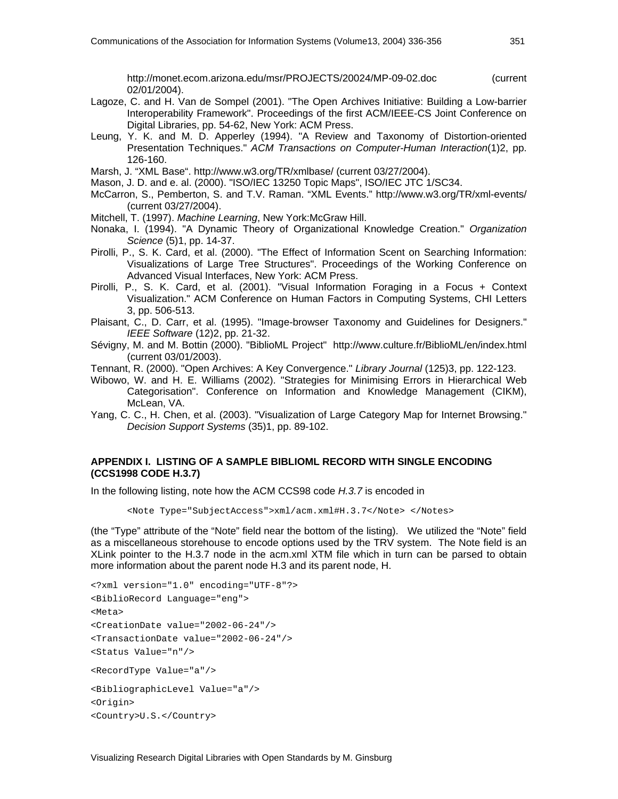http://monet.ecom.arizona.edu/msr/PROJECTS/20024/MP-09-02.doc (current 02/01/2004).

- Lagoze, C. and H. Van de Sompel (2001). "The Open Archives Initiative: Building a Low-barrier Interoperability Framework". Proceedings of the first ACM/IEEE-CS Joint Conference on Digital Libraries, pp. 54-62, New York: ACM Press.
- Leung, Y. K. and M. D. Apperley (1994). "A Review and Taxonomy of Distortion-oriented Presentation Techniques." *ACM Transactions on Computer-Human Interaction*(1)2, pp. 126-160.

Marsh, J. "XML Base". http://www.w3.org/TR/xmlbase/ (current 03/27/2004).

Mason, J. D. and e. al. (2000). "ISO/IEC 13250 Topic Maps", ISO/IEC JTC 1/SC34.

- McCarron, S., Pemberton, S. and T.V. Raman. "XML Events." http://www.w3.org/TR/xml-events/ (current 03/27/2004).
- Mitchell, T. (1997). *Machine Learning*, New York:McGraw Hill.
- Nonaka, I. (1994). "A Dynamic Theory of Organizational Knowledge Creation." *Organization Science* (5)1, pp. 14-37.
- Pirolli, P., S. K. Card, et al. (2000). "The Effect of Information Scent on Searching Information: Visualizations of Large Tree Structures". Proceedings of the Working Conference on Advanced Visual Interfaces, New York: ACM Press.
- Pirolli, P., S. K. Card, et al. (2001). "Visual Information Foraging in a Focus + Context Visualization." ACM Conference on Human Factors in Computing Systems, CHI Letters 3, pp. 506-513.
- Plaisant, C., D. Carr, et al. (1995). "Image-browser Taxonomy and Guidelines for Designers." *IEEE Software* (12)2, pp. 21-32.
- Sévigny, M. and M. Bottin (2000). "BiblioML Project" http://www.culture.fr/BiblioML/en/index.html (current 03/01/2003).
- Tennant, R. (2000). "Open Archives: A Key Convergence." *Library Journal* (125)3, pp. 122-123.
- Wibowo, W. and H. E. Williams (2002). "Strategies for Minimising Errors in Hierarchical Web Categorisation". Conference on Information and Knowledge Management (CIKM), McLean, VA.
- Yang, C. C., H. Chen, et al. (2003). "Visualization of Large Category Map for Internet Browsing." *Decision Support Systems* (35)1, pp. 89-102.

#### **APPENDIX I. LISTING OF A SAMPLE BIBLIOML RECORD WITH SINGLE ENCODING (CCS1998 CODE H.3.7)**

In the following listing, note how the ACM CCS98 code *H.3.7* is encoded in

<Note Type="SubjectAccess">xml/acm.xml#H.3.7</Note> </Notes>

(the "Type" attribute of the "Note" field near the bottom of the listing). We utilized the "Note" field as a miscellaneous storehouse to encode options used by the TRV system. The Note field is an XLink pointer to the H.3.7 node in the acm.xml XTM file which in turn can be parsed to obtain more information about the parent node H.3 and its parent node, H.

```
<?xml version="1.0" encoding="UTF-8"?> 
<BiblioRecord Language="eng"> 
<Meta> 
<CreationDate value="2002-06-24"/> 
<TransactionDate value="2002-06-24"/> 
<Status Value="n"/> 
<RecordType Value="a"/> 
<BibliographicLevel Value="a"/> 
<Origin> 
<Country>U.S.</Country>
```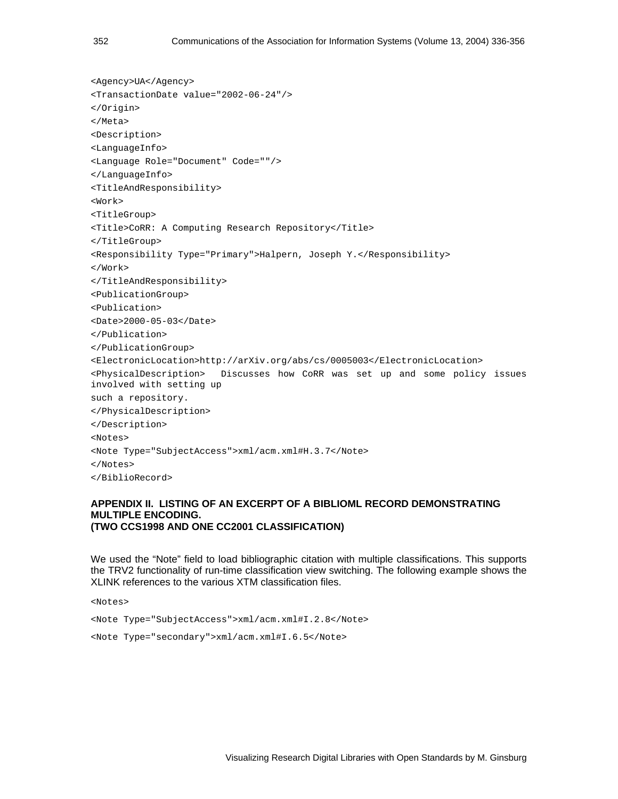```
<Agency>UA</Agency> 
<TransactionDate value="2002-06-24"/> 
</Origin> 
</Meta> 
<Description> 
<LanguageInfo> 
<Language Role="Document" Code=""/> 
</LanguageInfo> 
<TitleAndResponsibility> 
<Work> 
<TitleGroup> 
<Title>CoRR: A Computing Research Repository</Title> 
</TitleGroup> 
<Responsibility Type="Primary">Halpern, Joseph Y.</Responsibility> 
</Work> 
</TitleAndResponsibility> 
<PublicationGroup> 
<Publication> 
<Date>2000-05-03</Date> 
</Publication> 
</PublicationGroup> 
<ElectronicLocation>http://arXiv.org/abs/cs/0005003</ElectronicLocation> 
<PhysicalDescription> Discusses how CoRR was set up and some policy issues 
involved with setting up 
such a repository. 
</PhysicalDescription> 
</Description> 
<Notes> 
<Note Type="SubjectAccess">xml/acm.xml#H.3.7</Note> 
</Notes> 
</BiblioRecord>
```
#### **APPENDIX II. LISTING OF AN EXCERPT OF A BIBLIOML RECORD DEMONSTRATING MULTIPLE ENCODING. (TWO CCS1998 AND ONE CC2001 CLASSIFICATION)**

We used the "Note" field to load bibliographic citation with multiple classifications. This supports the TRV2 functionality of run-time classification view switching. The following example shows the XLINK references to the various XTM classification files.

<Notes>

<Note Type="SubjectAccess">xml/acm.xml#I.2.8</Note>

<Note Type="secondary">xml/acm.xml#I.6.5</Note>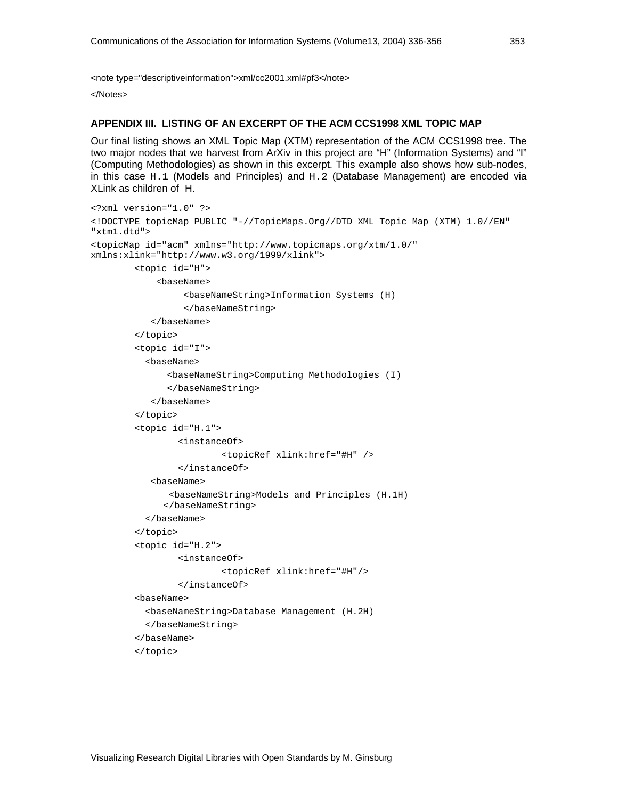<note type="descriptiveinformation">xml/cc2001.xml#pf3</note>

</Notes>

#### **APPENDIX III. LISTING OF AN EXCERPT OF THE ACM CCS1998 XML TOPIC MAP**

Our final listing shows an XML Topic Map (XTM) representation of the ACM CCS1998 tree. The two major nodes that we harvest from ArXiv in this project are "H" (Information Systems) and "I" (Computing Methodologies) as shown in this excerpt. This example also shows how sub-nodes, in this case H.1 (Models and Principles) and H.2 (Database Management) are encoded via XLink as children of H.

```
<?xml version="1.0" ?> 
<!DOCTYPE topicMap PUBLIC "-//TopicMaps.Org//DTD XML Topic Map (XTM) 1.0//EN" 
"xtm1.dtd"> 
<topicMap id="acm" xmlns="http://www.topicmaps.org/xtm/1.0/" 
xmlns:xlink="http://www.w3.org/1999/xlink"> 
          <topic id="H"> 
              <baseName> 
                    <baseNameString>Information Systems (H) 
                    </baseNameString> 
             </baseName> 
          </topic> 
          <topic id="I"> 
            <baseName> 
                <baseNameString>Computing Methodologies (I) 
                </baseNameString> 
             </baseName> 
          </topic> 
          <topic id="H.1"> 
                  <instanceOf> 
                           <topicRef xlink:href="#H" /> 
                   </instanceOf> 
             <baseName> 
                 <baseNameString>Models and Principles (H.1H) 
               </baseNameString> 
            </baseName> 
          </topic> 
          <topic id="H.2"> 
                  <instanceOf> 
                           <topicRef xlink:href="#H"/> 
                  </instanceOf> 
          <baseName> 
            <baseNameString>Database Management (H.2H) 
            </baseNameString> 
          </baseName> 
          </topic>
```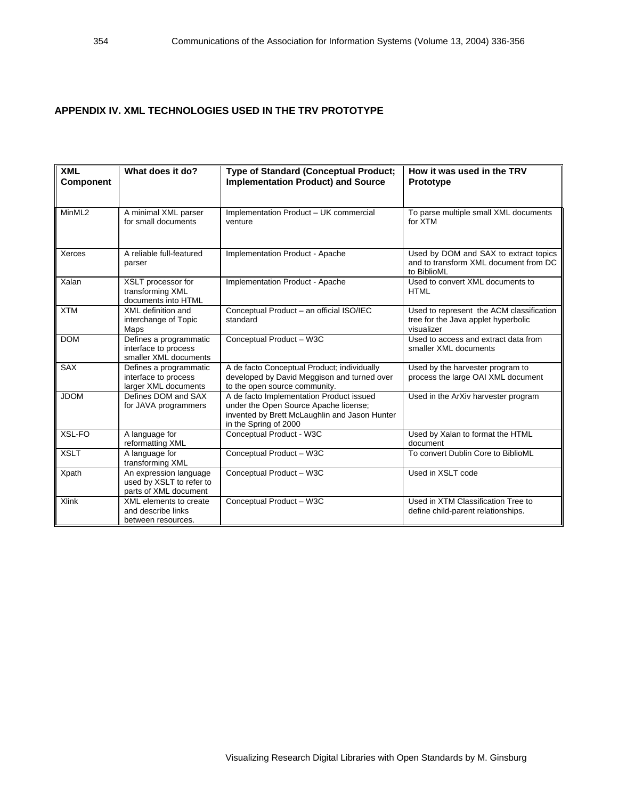#### **APPENDIX IV. XML TECHNOLOGIES USED IN THE TRV PROTOTYPE**

| <b>XML</b><br><b>Component</b> | What does it do?                                                            | <b>Type of Standard (Conceptual Product;</b><br><b>Implementation Product) and Source</b>                                                                   | How it was used in the TRV<br><b>Prototype</b>                                                |
|--------------------------------|-----------------------------------------------------------------------------|-------------------------------------------------------------------------------------------------------------------------------------------------------------|-----------------------------------------------------------------------------------------------|
| MinML2                         | A minimal XML parser<br>for small documents                                 | Implementation Product - UK commercial<br>venture                                                                                                           | To parse multiple small XML documents<br>for XTM                                              |
| Xerces                         | A reliable full-featured<br>parser                                          | Implementation Product - Apache                                                                                                                             | Used by DOM and SAX to extract topics<br>and to transform XML document from DC<br>to BiblioML |
| Xalan                          | XSLT processor for<br>transforming XML<br>documents into HTML               | Implementation Product - Apache                                                                                                                             | Used to convert XML documents to<br><b>HTML</b>                                               |
| <b>XTM</b>                     | XML definition and<br>interchange of Topic<br>Maps                          | Conceptual Product - an official ISO/IEC<br>standard                                                                                                        | Used to represent the ACM classification<br>tree for the Java applet hyperbolic<br>visualizer |
| <b>DOM</b>                     | Defines a programmatic<br>interface to process<br>smaller XML documents     | Conceptual Product - W3C                                                                                                                                    | Used to access and extract data from<br>smaller XML documents                                 |
| <b>SAX</b>                     | Defines a programmatic<br>interface to process<br>larger XML documents      | A de facto Conceptual Product; individually<br>developed by David Meggison and turned over<br>to the open source community.                                 | Used by the harvester program to<br>process the large OAI XML document                        |
| <b>JDOM</b>                    | Defines DOM and SAX<br>for JAVA programmers                                 | A de facto Implementation Product issued<br>under the Open Source Apache license;<br>invented by Brett McLaughlin and Jason Hunter<br>in the Spring of 2000 | Used in the ArXiv harvester program                                                           |
| XSL-FO                         | A language for<br>reformatting XML                                          | Conceptual Product - W3C                                                                                                                                    | Used by Xalan to format the HTML<br>document                                                  |
| <b>XSLT</b>                    | A language for<br>transforming XML                                          | Conceptual Product - W3C                                                                                                                                    | To convert Dublin Core to BiblioML                                                            |
| Xpath                          | An expression language<br>used by XSLT to refer to<br>parts of XML document | Conceptual Product - W3C                                                                                                                                    | Used in XSLT code                                                                             |
| <b>Xlink</b>                   | XML elements to create<br>and describe links<br>between resources.          | Conceptual Product - W3C                                                                                                                                    | Used in XTM Classification Tree to<br>define child-parent relationships.                      |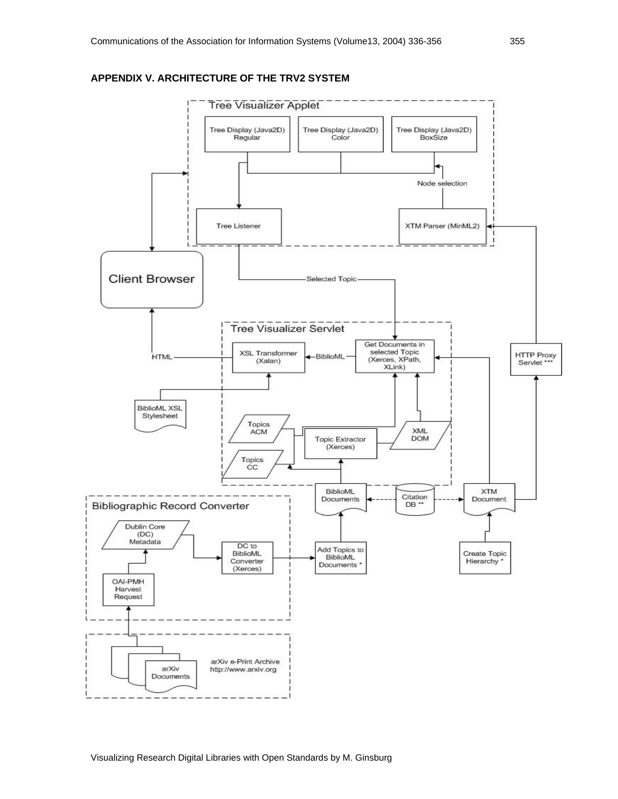

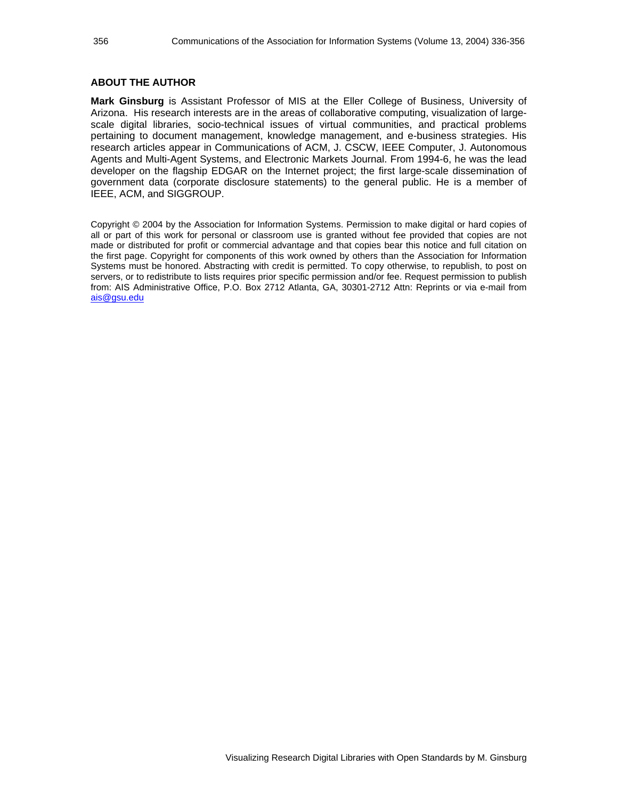#### **ABOUT THE AUTHOR**

**Mark Ginsburg** is Assistant Professor of MIS at the Eller College of Business, University of Arizona. His research interests are in the areas of collaborative computing, visualization of largescale digital libraries, socio-technical issues of virtual communities, and practical problems pertaining to document management, knowledge management, and e-business strategies. His research articles appear in Communications of ACM, J. CSCW, IEEE Computer, J. Autonomous Agents and Multi-Agent Systems, and Electronic Markets Journal. From 1994-6, he was the lead developer on the flagship EDGAR on the Internet project; the first large-scale dissemination of government data (corporate disclosure statements) to the general public. He is a member of IEEE, ACM, and SIGGROUP.

Copyright © 2004 by the Association for Information Systems. Permission to make digital or hard copies of all or part of this work for personal or classroom use is granted without fee provided that copies are not made or distributed for profit or commercial advantage and that copies bear this notice and full citation on the first page. Copyright for components of this work owned by others than the Association for Information Systems must be honored. Abstracting with credit is permitted. To copy otherwise, to republish, to post on servers, or to redistribute to lists requires prior specific permission and/or fee. Request permission to publish from: AIS Administrative Office, P.O. Box 2712 Atlanta, GA, 30301-2712 Attn: Reprints or via e-mail from ais@gsu.edu